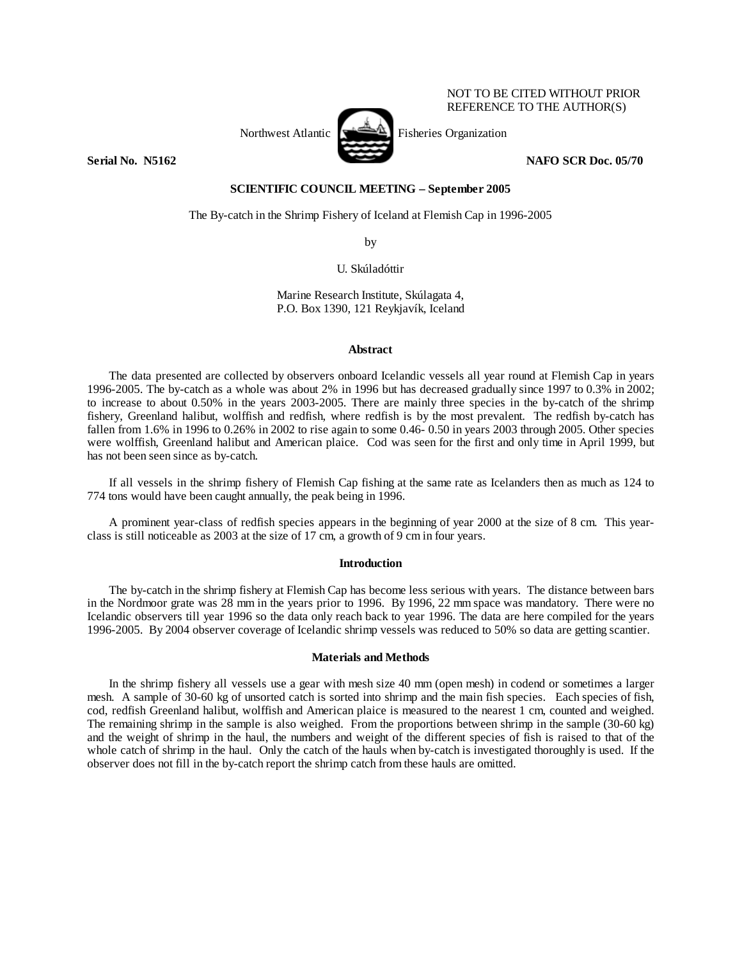NOT TO BE CITED WITHOUT PRIOR REFERENCE TO THE AUTHOR(S)



Northwest Atlantic Fisheries Organization

**Serial No. 35162** NAFO SCR Doc. 05/70 **NAFO SCR Doc.** 05/70

## **SCIENTIFIC COUNCIL MEETING – September 2005**

The By-catch in the Shrimp Fishery of Iceland at Flemish Cap in 1996-2005

by

U. Skúladóttir

Marine Research Institute, Skúlagata 4, P.O. Box 1390, 121 Reykjavík, Iceland

### **Abstract**

 The data presented are collected by observers onboard Icelandic vessels all year round at Flemish Cap in years 1996-2005. The by-catch as a whole was about 2% in 1996 but has decreased gradually since 1997 to 0.3% in 2002; to increase to about 0.50% in the years 2003-2005. There are mainly three species in the by-catch of the shrimp fishery, Greenland halibut, wolffish and redfish, where redfish is by the most prevalent. The redfish by-catch has fallen from 1.6% in 1996 to 0.26% in 2002 to rise again to some 0.46- 0.50 in years 2003 through 2005. Other species were wolffish, Greenland halibut and American plaice. Cod was seen for the first and only time in April 1999, but has not been seen since as by-catch.

 If all vessels in the shrimp fishery of Flemish Cap fishing at the same rate as Icelanders then as much as 124 to 774 tons would have been caught annually, the peak being in 1996.

A prominent year-class of redfish species appears in the beginning of year 2000 at the size of 8 cm. This yearclass is still noticeable as 2003 at the size of 17 cm, a growth of 9 cm in four years.

### **Introduction**

 The by-catch in the shrimp fishery at Flemish Cap has become less serious with years. The distance between bars in the Nordmoor grate was 28 mm in the years prior to 1996. By 1996, 22 mm space was mandatory. There were no Icelandic observers till year 1996 so the data only reach back to year 1996. The data are here compiled for the years 1996-2005. By 2004 observer coverage of Icelandic shrimp vessels was reduced to 50% so data are getting scantier.

### **Materials and Methods**

 In the shrimp fishery all vessels use a gear with mesh size 40 mm (open mesh) in codend or sometimes a larger mesh. A sample of 30-60 kg of unsorted catch is sorted into shrimp and the main fish species. Each species of fish, cod, redfish Greenland halibut, wolffish and American plaice is measured to the nearest 1 cm, counted and weighed. The remaining shrimp in the sample is also weighed. From the proportions between shrimp in the sample (30-60 kg) and the weight of shrimp in the haul, the numbers and weight of the different species of fish is raised to that of the whole catch of shrimp in the haul. Only the catch of the hauls when by-catch is investigated thoroughly is used. If the observer does not fill in the by-catch report the shrimp catch from these hauls are omitted.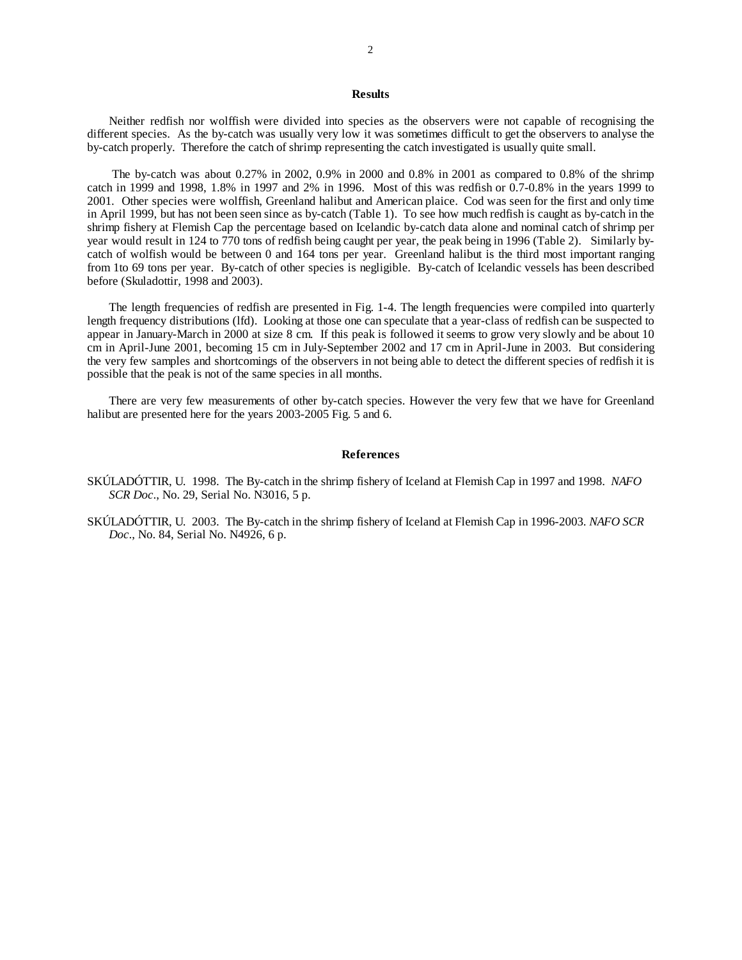# **Results**

Neither redfish nor wolffish were divided into species as the observers were not capable of recognising the different species. As the by-catch was usually very low it was sometimes difficult to get the observers to analyse the by-catch properly. Therefore the catch of shrimp representing the catch investigated is usually quite small.

 The by-catch was about 0.27% in 2002, 0.9% in 2000 and 0.8% in 2001 as compared to 0.8% of the shrimp catch in 1999 and 1998, 1.8% in 1997 and 2% in 1996. Most of this was redfish or 0.7-0.8% in the years 1999 to 2001. Other species were wolffish, Greenland halibut and American plaice. Cod was seen for the first and only time in April 1999, but has not been seen since as by-catch (Table 1). To see how much redfish is caught as by-catch in the shrimp fishery at Flemish Cap the percentage based on Icelandic by-catch data alone and nominal catch of shrimp per year would result in 124 to 770 tons of redfish being caught per year, the peak being in 1996 (Table 2). Similarly bycatch of wolfish would be between 0 and 164 tons per year. Greenland halibut is the third most important ranging from 1to 69 tons per year. By-catch of other species is negligible. By-catch of Icelandic vessels has been described before (Skuladottir, 1998 and 2003).

The length frequencies of redfish are presented in Fig. 1-4. The length frequencies were compiled into quarterly length frequency distributions (lfd). Looking at those one can speculate that a year-class of redfish can be suspected to appear in January-March in 2000 at size 8 cm. If this peak is followed it seems to grow very slowly and be about 10 cm in April-June 2001, becoming 15 cm in July-September 2002 and 17 cm in April-June in 2003. But considering the very few samples and shortcomings of the observers in not being able to detect the different species of redfish it is possible that the peak is not of the same species in all months.

There are very few measurements of other by-catch species. However the very few that we have for Greenland halibut are presented here for the years 2003-2005 Fig. 5 and 6.

#### **References**

- SKÚLADÓTTIR, U. 1998. The By-catch in the shrimp fishery of Iceland at Flemish Cap in 1997 and 1998. *NAFO SCR Doc*., No. 29, Serial No. N3016, 5 p.
- SKÚLADÓTTIR, U. 2003. The By-catch in the shrimp fishery of Iceland at Flemish Cap in 1996-2003. *NAFO SCR Doc*., No. 84, Serial No. N4926, 6 p.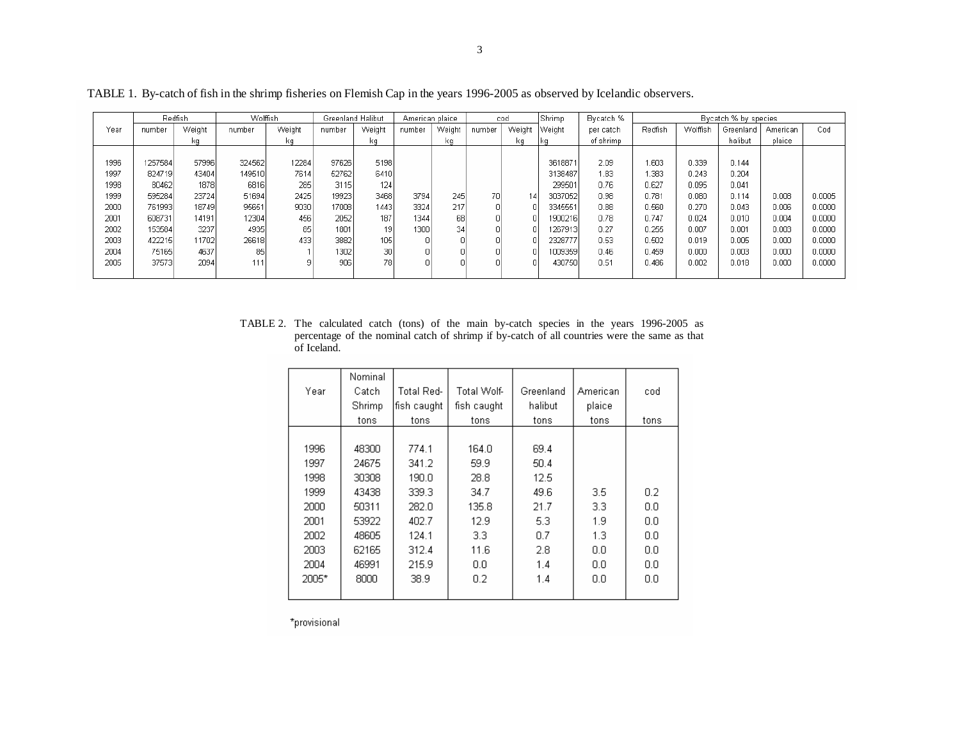|      | Redfish |        | <b>Wolffish</b> |        | Greenland Halibut |        | American plaice |        | cod    |        | Shrimp  | Bycatch % | Bycatch % by species |          |           |          |        |
|------|---------|--------|-----------------|--------|-------------------|--------|-----------------|--------|--------|--------|---------|-----------|----------------------|----------|-----------|----------|--------|
| Year | number  | Weight | number          | Weight | number            | Weight | number          | Weight | number | Weight | Weiaht  | per catch | Redfish              | Wolffish | Greenland | American | Cod    |
|      |         | kq     |                 | ka.    |                   | kq     |                 | kq     |        | kq     |         | of shrimp |                      |          | halibut   | plaice   |        |
|      |         |        |                 |        |                   |        |                 |        |        |        |         |           |                      |          |           |          |        |
| 1996 | 257584  | 57996  | 324562          | 12284  | 97626             | 5198   |                 |        |        |        | 3618871 | 2.09      | 1.603                | 0.339    | 0.144     |          |        |
| 1997 | 824719  | 43404  | 149510          | 7614   | 52762             | 6410   |                 |        |        |        | 3138487 | 1.83      | .383                 | 0.243    | 0.204     |          |        |
| 1998 | 80462   | 1878   | 6816            | 285    | 3115              | 124    |                 |        |        |        | 299501  | 0.76      | 0.627                | 0.095    | 0.041     |          |        |
| 1999 | 595284  | 23724  | 51694           | 2425   | 19923             | 3468   | 3794            | 245    | 70)    | 14     | 3037052 | 0.98      | 0.781                | 0.080    | 0.114     | 0.008    | 0.0005 |
| 2000 | 761993  | 18749  | 95651           | 9030   | 17008             | 1443   | 3324            | 217    |        |        | 3345551 | 0.88      | 0.560                | 0.270    | 0.043     | 0.006    | 0.0000 |
| 2001 | 608731  | 14191  | 12304           | 456    | 2052              | 187    | 1344            | 68     |        |        | 1900216 | 0.78      | 0.747                | 0.024    | 0.010     | 0.004    | 0.0000 |
| 2002 | 153584  | 3237   | 4935            | 85     | 1801              | 19     | 1300            | 34     |        |        | 1267913 | 0.27      | 0.255                | 0.007    | 0.001     | 0.003    | 0.0000 |
| 2003 | 422215  | 11702  | 26618           | 433    | 3882              | 105    |                 |        |        |        | 2328777 | 0.53      | 0.502                | 0.019    | 0.005     | 0.000    | 0.0000 |
| 2004 | 75165   | 4637   | 85              |        | 1302              | 30     |                 |        |        |        | 1009359 | 0.46      | 0.459                | 0.000    | 0.003     | 0.000    | 0.0000 |
| 2005 | 375731  | 2094   | 111             | 9      | 906               | 78     |                 |        |        |        | 430750  | 0.51      | 0.486                | 0.002    | 0.018     | 0.000    | 0.0000 |
|      |         |        |                 |        |                   |        |                 |        |        |        |         |           |                      |          |           |          |        |

TABLE 1. By-catch of fish in the shrimp fisheries on Flemish Cap in the years 1996-2005 as observed by Icelandic observers.

TABLE 2. The calculated catch (tons) of the main by-catch species in the years 1996-2005 as percentage of the nominal catch of shrimp if by-catch of all countries were the same as that of Iceland.

|       | Nominal |              |             |           |          |      |
|-------|---------|--------------|-------------|-----------|----------|------|
| Year  | Catch   | Total Red-   | Total Wolf- | Greenland | American | cod  |
|       | Shrimp  | fish caught. | fish caught | halibut   | plaice   |      |
|       | tons    | tons         | tons        | tons      | tons     | tons |
|       |         |              |             |           |          |      |
| 1996  | 48300   | 774.1        | 164.0       | 69.4      |          |      |
| 1997  | 24675   | 341.2        | 59.9        | 50.4      |          |      |
| 1998  | 30308   | 190.0        | 28.8        | 12.5      |          |      |
| 1999  | 43438   | 339.3        | 34.7        | 49.6      | 3.5      | 0.2  |
| 2000  | 50311   | 282.0        | 135.8       | 21.7      | 3.3      | 0.0  |
| 2001  | 53922   | 402.7        | 12.9        | 5.3       | 1.9      | 0.0  |
| 2002  | 48605   | 124.1        | 3.3         | 0.7       | 1.3      | 0.0  |
| 2003  | 62165   | 312.4        | 11.6        | 2.8       | 0.0      | 0.0  |
| 2004  | 46991   | 215.9        | 0.0         | 1.4       | 0.0      | 0.0  |
| 2005* | 8000    | 38.9         | 0.2         | 1.4       | 0.0      | 0.0  |
|       |         |              |             |           |          |      |

\*provisional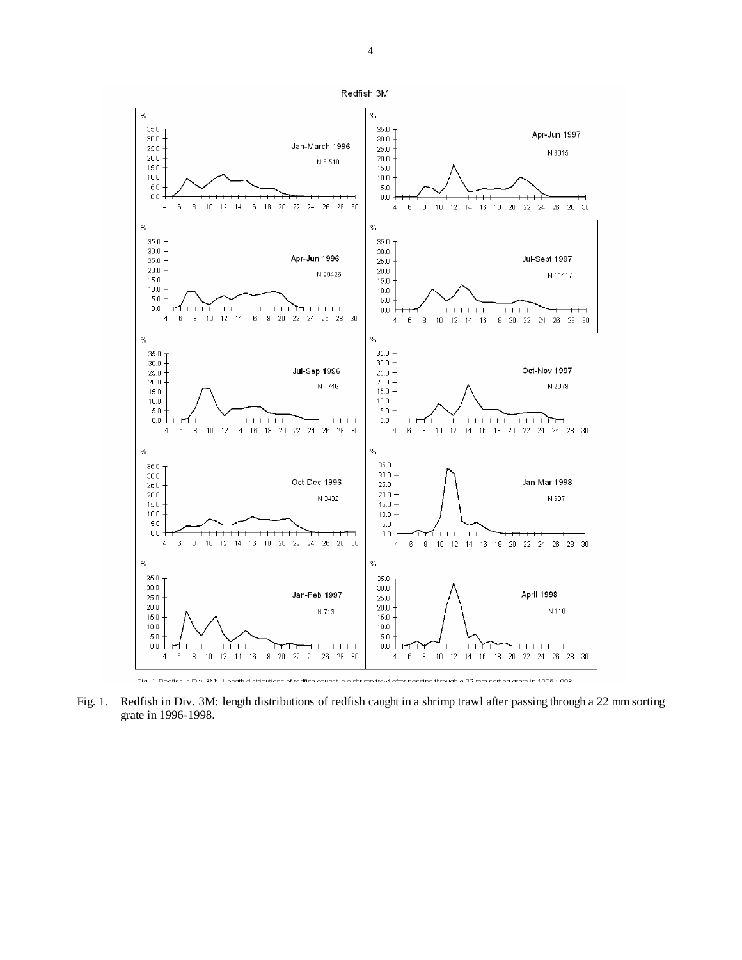

Fig. 1. Redfish in Div. 3M: length distributions of redfish caught in a shrimp trawl after passing through a 22 mm sorting grate in 1996-1998.

Redfish 3M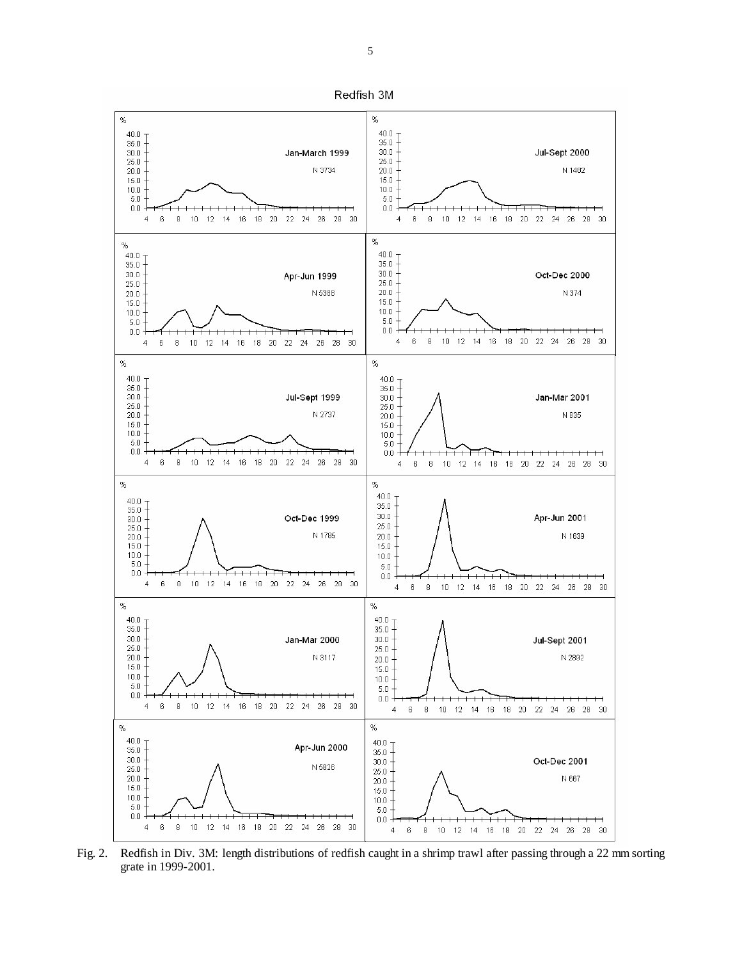

Fig. 2. Redfish in Div. 3M: length distributions of redfish caught in a shrimp trawl after passing through a 22 mm sorting grate in 1999-2001.

Redfish 3M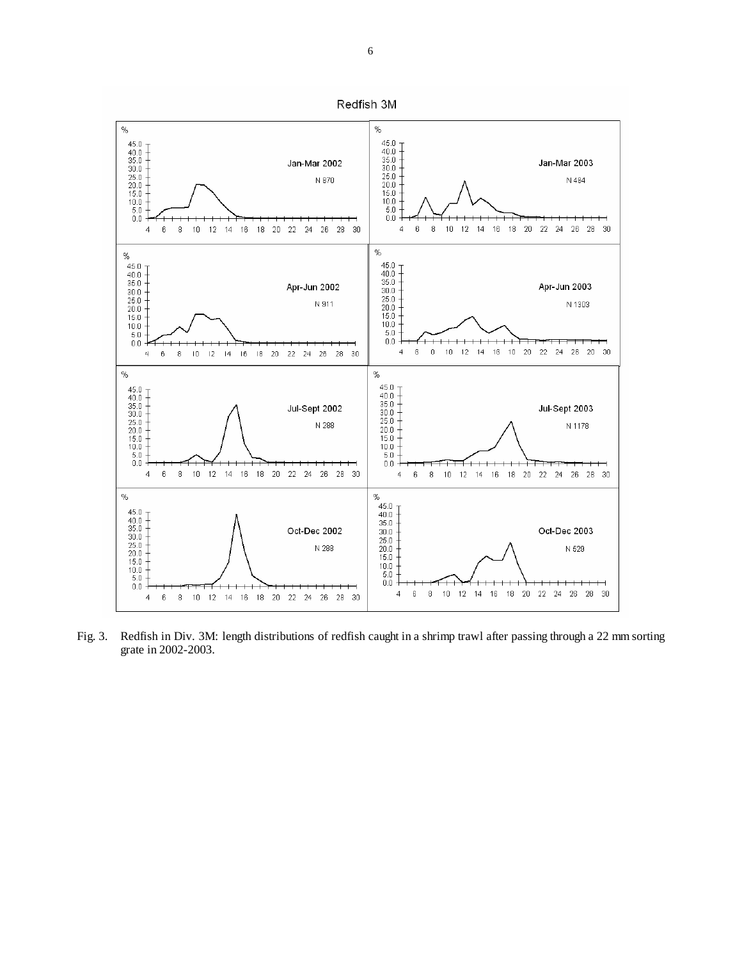

Fig. 3. Redfish in Div. 3M: length distributions of redfish caught in a shrimp trawl after passing through a 22 mm sorting grate in 2002-2003.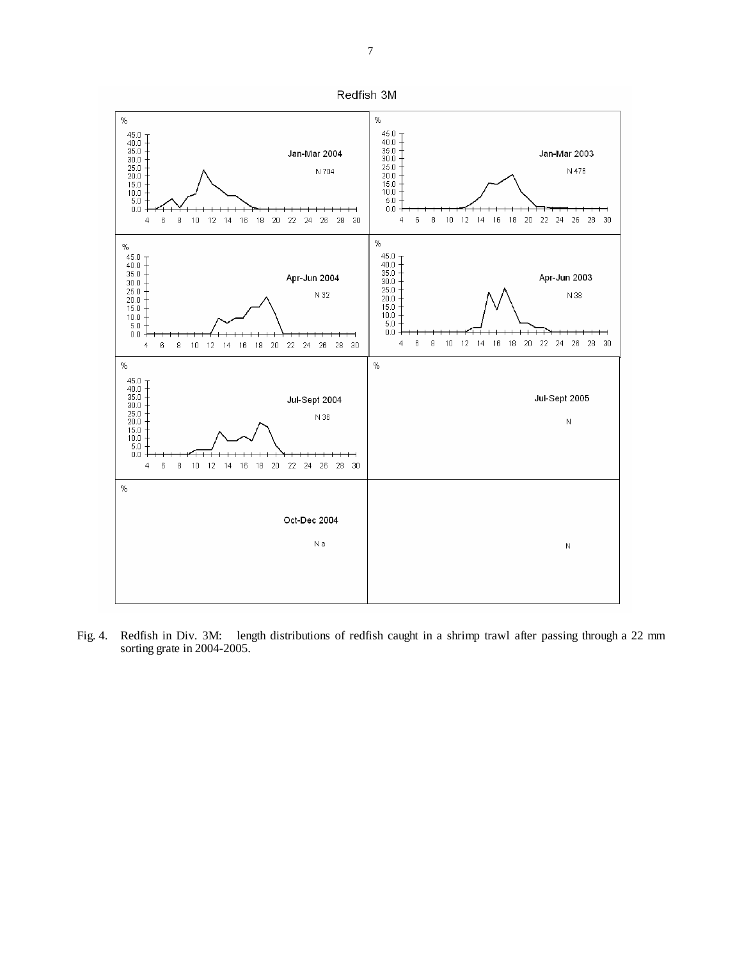

Fig. 4. Redfish in Div. 3M: length distributions of redfish caught in a shrimp trawl after passing through a 22 mm sorting grate in 2004-2005.

Redfish 3M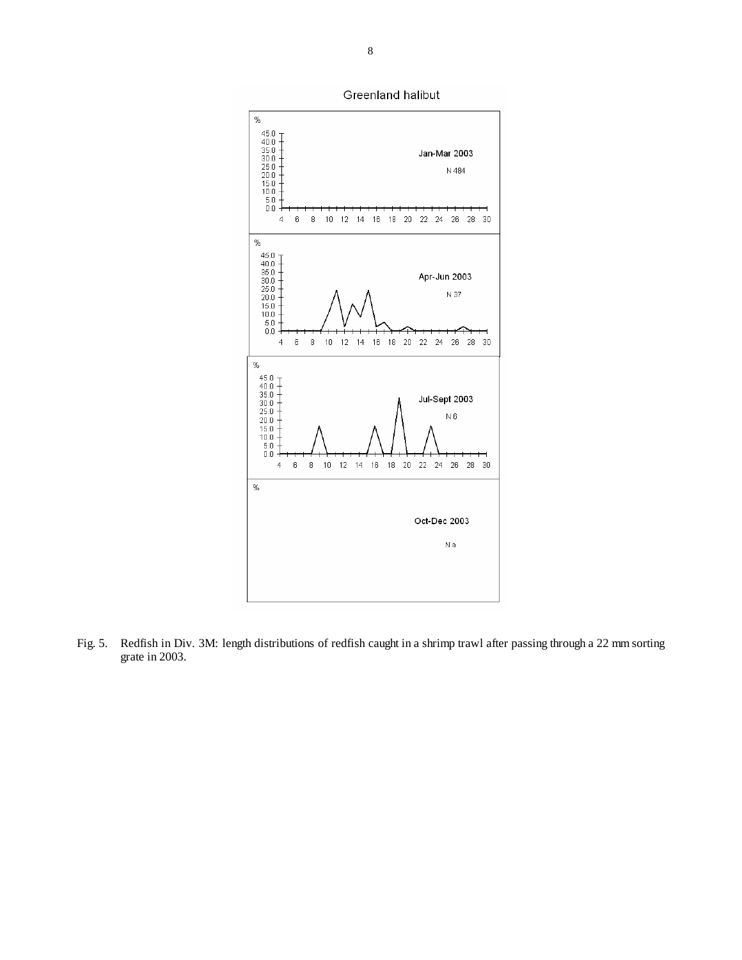

Fig. 5. Redfish in Div. 3M: length distributions of redfish caught in a shrimp trawl after passing through a 22 mm sorting grate in 2003.